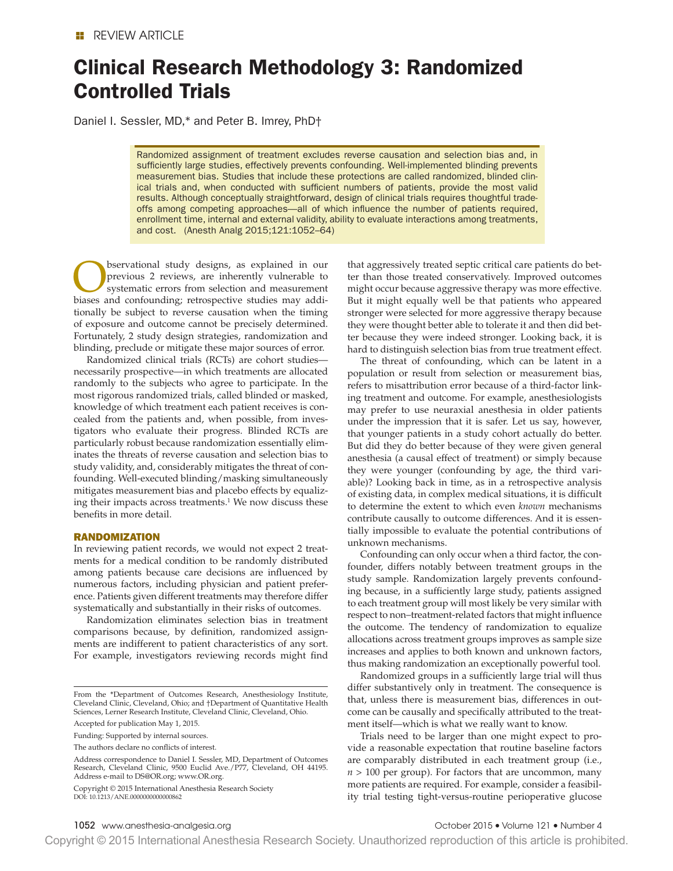# Clinical Research Methodology 3: Randomized Controlled Trials

Daniel I. Sessler, MD,\* and Peter B. Imrey, PhD†

Randomized assignment of treatment excludes reverse causation and selection bias and, in sufficiently large studies, effectively prevents confounding. Well-implemented blinding prevents measurement bias. Studies that include these protections are called randomized, blinded clinical trials and, when conducted with sufficient numbers of patients, provide the most valid results. Although conceptually straightforward, design of clinical trials requires thoughtful tradeoffs among competing approaches—all of which infuence the number of patients required, enrollment time, internal and external validity, ability to evaluate interactions among treatments, and cost. (Anesth Analg 2015;121:1052–64)

**ODE SERVATION SERVATION SERVATION** SUPERVIEW SUPERVIEW SUPERVIEW SUPERVIEW SUPERVIEW STRANGER STRANGER STRANGER STRANGER STRANGER STRANGER STRANGER STRANGER STRANGER STRANGER STRANGER STRANGER STRANGER STRANGER STRANGER S previous 2 reviews, are inherently vulnerable to systematic errors from selection and measurement biases and confounding; retrospective studies may additionally be subject to reverse causation when the timing of exposure and outcome cannot be precisely determined. Fortunately, 2 study design strategies, randomization and blinding, preclude or mitigate these major sources of error.

Randomized clinical trials (RCTs) are cohort studies necessarily prospective—in which treatments are allocated randomly to the subjects who agree to participate. In the most rigorous randomized trials, called blinded or masked, knowledge of which treatment each patient receives is concealed from the patients and, when possible, from investigators who evaluate their progress. Blinded RCTs are particularly robust because randomization essentially eliminates the threats of reverse causation and selection bias to study validity, and, considerably mitigates the threat of confounding. Well-executed blinding/masking simultaneously mitigates measurement bias and placebo effects by equalizing their impacts across treatments.<sup>1</sup> We now discuss these benefits in more detail.

# RANDOMIZATION

In reviewing patient records, we would not expect 2 treatments for a medical condition to be randomly distributed among patients because care decisions are infuenced by numerous factors, including physician and patient preference. Patients given different treatments may therefore differ systematically and substantially in their risks of outcomes.

Randomization eliminates selection bias in treatment comparisons because, by defnition, randomized assignments are indifferent to patient characteristics of any sort. For example, investigators reviewing records might find

The authors declare no conficts of interest.

Address correspondence to Daniel I. Sessler, MD, Department of Outcomes Research, Cleveland Clinic, 9500 Euclid Ave./P77, Cleveland, OH 44195. Address e-mail to DS@OR.org; www.OR.org.

Copyright © 2015 International Anesthesia Research Society DOI: 10.1213/ANE.0000000000000862

that aggressively treated septic critical care patients do better than those treated conservatively. Improved outcomes might occur because aggressive therapy was more effective. But it might equally well be that patients who appeared stronger were selected for more aggressive therapy because they were thought better able to tolerate it and then did better because they were indeed stronger. Looking back, it is hard to distinguish selection bias from true treatment effect.

The threat of confounding, which can be latent in a population or result from selection or measurement bias, refers to misattribution error because of a third-factor linking treatment and outcome. For example, anesthesiologists may prefer to use neuraxial anesthesia in older patients under the impression that it is safer. Let us say, however, that younger patients in a study cohort actually do better. But did they do better because of they were given general anesthesia (a causal effect of treatment) or simply because they were younger (confounding by age, the third variable)? Looking back in time, as in a retrospective analysis of existing data, in complex medical situations, it is difficult to determine the extent to which even *known* mechanisms contribute causally to outcome differences. And it is essentially impossible to evaluate the potential contributions of unknown mechanisms.

Confounding can only occur when a third factor, the confounder, differs notably between treatment groups in the study sample. Randomization largely prevents confounding because, in a sufficiently large study, patients assigned to each treatment group will most likely be very similar with respect to non–treatment-related factors that might infuence the outcome. The tendency of randomization to equalize allocations across treatment groups improves as sample size increases and applies to both known and unknown factors, thus making randomization an exceptionally powerful tool.

Randomized groups in a sufficiently large trial will thus differ substantively only in treatment. The consequence is that, unless there is measurement bias, differences in outcome can be causally and specifically attributed to the treatment itself—which is what we really want to know.

Trials need to be larger than one might expect to provide a reasonable expectation that routine baseline factors are comparably distributed in each treatment group (i.e.,  $n > 100$  per group). For factors that are uncommon, many more patients are required. For example, consider a feasibility trial testing tight-versus-routine perioperative glucose

#### 1052 www.anesthesia-analgesia.org October 2015 ڇ Volume 121 ڇ Number 4

From the \*Department of Outcomes Research, Anesthesiology Institute, Cleveland Clinic, Cleveland, Ohio; and †Department of Quantitative Health Sciences, Lerner Research Institute, Cleveland Clinic, Cleveland, Ohio.

Accepted for publication May 1, 2015.

Funding: Supported by internal sources.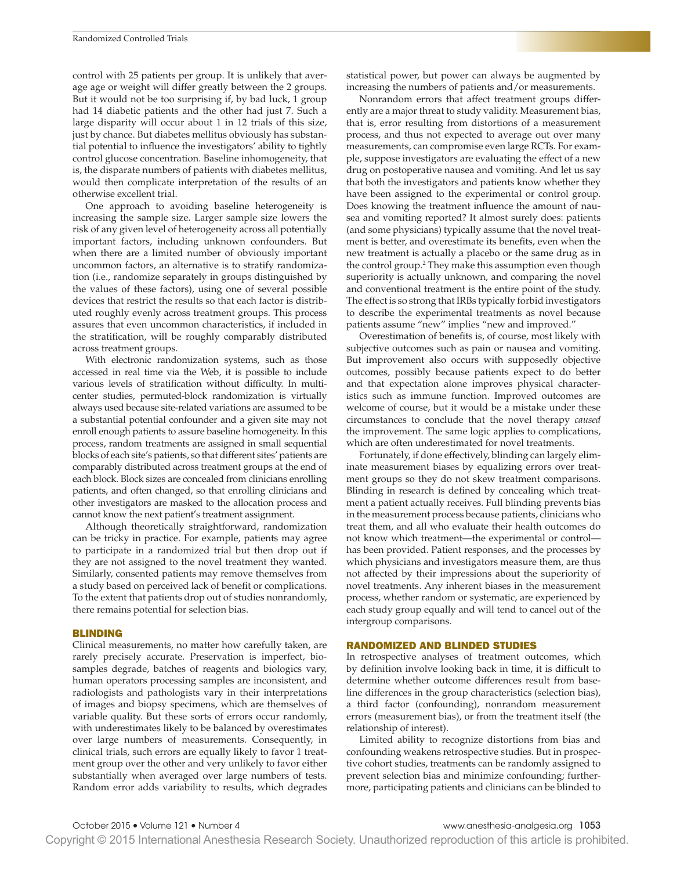control with 25 patients per group. It is unlikely that average age or weight will differ greatly between the 2 groups. But it would not be too surprising if, by bad luck, 1 group had 14 diabetic patients and the other had just 7. Such a large disparity will occur about 1 in 12 trials of this size, just by chance. But diabetes mellitus obviously has substantial potential to infuence the investigators' ability to tightly control glucose concentration. Baseline inhomogeneity, that is, the disparate numbers of patients with diabetes mellitus, would then complicate interpretation of the results of an otherwise excellent trial.

One approach to avoiding baseline heterogeneity is increasing the sample size. Larger sample size lowers the risk of any given level of heterogeneity across all potentially important factors, including unknown confounders. But when there are a limited number of obviously important uncommon factors, an alternative is to stratify randomization (i.e., randomize separately in groups distinguished by the values of these factors), using one of several possible devices that restrict the results so that each factor is distributed roughly evenly across treatment groups. This process assures that even uncommon characteristics, if included in the stratifcation, will be roughly comparably distributed across treatment groups.

With electronic randomization systems, such as those accessed in real time via the Web, it is possible to include various levels of stratification without difficulty. In multicenter studies, permuted-block randomization is virtually always used because site-related variations are assumed to be a substantial potential confounder and a given site may not enroll enough patients to assure baseline homogeneity. In this process, random treatments are assigned in small sequential blocks of each site's patients, so that different sites' patients are comparably distributed across treatment groups at the end of each block. Block sizes are concealed from clinicians enrolling patients, and often changed, so that enrolling clinicians and other investigators are masked to the allocation process and cannot know the next patient's treatment assignment.

Although theoretically straightforward, randomization can be tricky in practice. For example, patients may agree to participate in a randomized trial but then drop out if they are not assigned to the novel treatment they wanted. Similarly, consented patients may remove themselves from a study based on perceived lack of benefit or complications. To the extent that patients drop out of studies nonrandomly, there remains potential for selection bias.

# BLINDING

Clinical measurements, no matter how carefully taken, are rarely precisely accurate. Preservation is imperfect, biosamples degrade, batches of reagents and biologics vary, human operators processing samples are inconsistent, and radiologists and pathologists vary in their interpretations of images and biopsy specimens, which are themselves of variable quality. But these sorts of errors occur randomly, with underestimates likely to be balanced by overestimates over large numbers of measurements. Consequently, in clinical trials, such errors are equally likely to favor 1 treatment group over the other and very unlikely to favor either substantially when averaged over large numbers of tests. Random error adds variability to results, which degrades

statistical power, but power can always be augmented by increasing the numbers of patients and/or measurements.

Nonrandom errors that affect treatment groups differently are a major threat to study validity. Measurement bias, that is, error resulting from distortions of a measurement process, and thus not expected to average out over many measurements, can compromise even large RCTs. For example, suppose investigators are evaluating the effect of a new drug on postoperative nausea and vomiting. And let us say that both the investigators and patients know whether they have been assigned to the experimental or control group. Does knowing the treatment infuence the amount of nausea and vomiting reported? It almost surely does: patients (and some physicians) typically assume that the novel treatment is better, and overestimate its benefits, even when the new treatment is actually a placebo or the same drug as in the control group.<sup>2</sup> They make this assumption even though superiority is actually unknown, and comparing the novel and conventional treatment is the entire point of the study. The effect is so strong that IRBs typically forbid investigators to describe the experimental treatments as novel because patients assume "new" implies "new and improved."

Overestimation of benefts is, of course, most likely with subjective outcomes such as pain or nausea and vomiting. But improvement also occurs with supposedly objective outcomes, possibly because patients expect to do better and that expectation alone improves physical characteristics such as immune function. Improved outcomes are welcome of course, but it would be a mistake under these circumstances to conclude that the novel therapy *caused* the improvement. The same logic applies to complications, which are often underestimated for novel treatments.

Fortunately, if done effectively, blinding can largely eliminate measurement biases by equalizing errors over treatment groups so they do not skew treatment comparisons. Blinding in research is defined by concealing which treatment a patient actually receives. Full blinding prevents bias in the measurement process because patients, clinicians who treat them, and all who evaluate their health outcomes do not know which treatment—the experimental or control has been provided. Patient responses, and the processes by which physicians and investigators measure them, are thus not affected by their impressions about the superiority of novel treatments. Any inherent biases in the measurement process, whether random or systematic, are experienced by each study group equally and will tend to cancel out of the intergroup comparisons.

# RANDOMIZED AND BLINDED STUDIES

In retrospective analyses of treatment outcomes, which by definition involve looking back in time, it is difficult to determine whether outcome differences result from baseline differences in the group characteristics (selection bias), a third factor (confounding), nonrandom measurement errors (measurement bias), or from the treatment itself (the relationship of interest).

Limited ability to recognize distortions from bias and confounding weakens retrospective studies. But in prospective cohort studies, treatments can be randomly assigned to prevent selection bias and minimize confounding; furthermore, participating patients and clinicians can be blinded to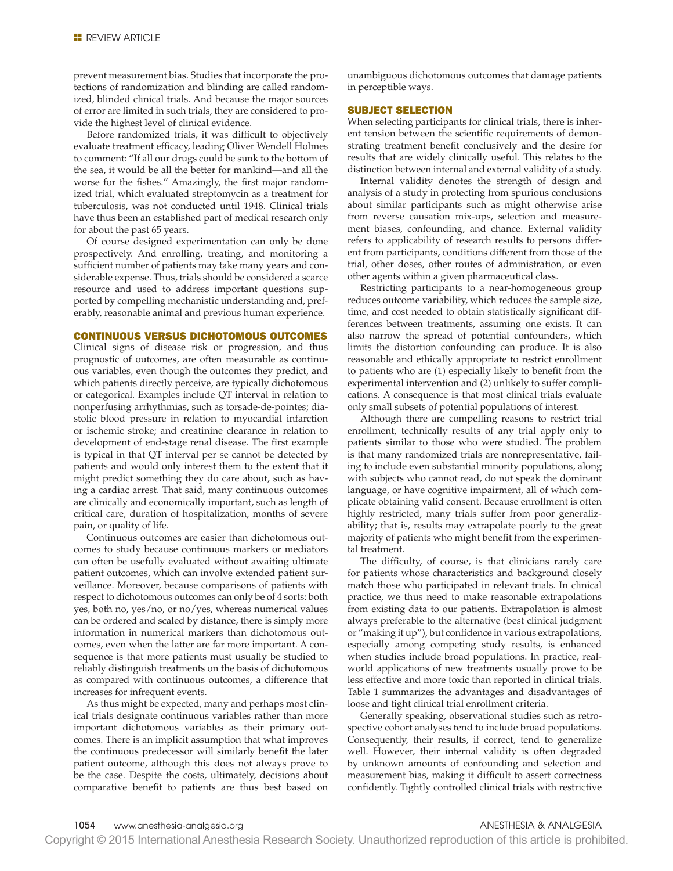prevent measurement bias. Studies that incorporate the protections of randomization and blinding are called randomized, blinded clinical trials. And because the major sources of error are limited in such trials, they are considered to provide the highest level of clinical evidence.

Before randomized trials, it was difficult to objectively evaluate treatment efficacy, leading Oliver Wendell Holmes to comment: "If all our drugs could be sunk to the bottom of the sea, it would be all the better for mankind—and all the worse for the fishes." Amazingly, the first major randomized trial, which evaluated streptomycin as a treatment for tuberculosis, was not conducted until 1948. Clinical trials have thus been an established part of medical research only for about the past 65 years.

Of course designed experimentation can only be done prospectively. And enrolling, treating, and monitoring a sufficient number of patients may take many years and considerable expense. Thus, trials should be considered a scarce resource and used to address important questions supported by compelling mechanistic understanding and, preferably, reasonable animal and previous human experience.

# CONTINUOUS VERSUS DICHOTOMOUS OUTCOMES

Clinical signs of disease risk or progression, and thus prognostic of outcomes, are often measurable as continuous variables, even though the outcomes they predict, and which patients directly perceive, are typically dichotomous or categorical. Examples include QT interval in relation to nonperfusing arrhythmias, such as torsade-de-pointes; diastolic blood pressure in relation to myocardial infarction or ischemic stroke; and creatinine clearance in relation to development of end-stage renal disease. The first example is typical in that QT interval per se cannot be detected by patients and would only interest them to the extent that it might predict something they do care about, such as having a cardiac arrest. That said, many continuous outcomes are clinically and economically important, such as length of critical care, duration of hospitalization, months of severe pain, or quality of life.

Continuous outcomes are easier than dichotomous outcomes to study because continuous markers or mediators can often be usefully evaluated without awaiting ultimate patient outcomes, which can involve extended patient surveillance. Moreover, because comparisons of patients with respect to dichotomous outcomes can only be of 4 sorts: both yes, both no, yes/no, or no/yes, whereas numerical values can be ordered and scaled by distance, there is simply more information in numerical markers than dichotomous outcomes, even when the latter are far more important. A consequence is that more patients must usually be studied to reliably distinguish treatments on the basis of dichotomous as compared with continuous outcomes, a difference that increases for infrequent events.

As thus might be expected, many and perhaps most clinical trials designate continuous variables rather than more important dichotomous variables as their primary outcomes. There is an implicit assumption that what improves the continuous predecessor will similarly benefit the later patient outcome, although this does not always prove to be the case. Despite the costs, ultimately, decisions about comparative beneft to patients are thus best based on

unambiguous dichotomous outcomes that damage patients in perceptible ways.

# SUBJECT SELECTION

When selecting participants for clinical trials, there is inherent tension between the scientific requirements of demonstrating treatment benefit conclusively and the desire for results that are widely clinically useful. This relates to the distinction between internal and external validity of a study.

Internal validity denotes the strength of design and analysis of a study in protecting from spurious conclusions about similar participants such as might otherwise arise from reverse causation mix-ups, selection and measurement biases, confounding, and chance. External validity refers to applicability of research results to persons different from participants, conditions different from those of the trial, other doses, other routes of administration, or even other agents within a given pharmaceutical class.

Restricting participants to a near-homogeneous group reduces outcome variability, which reduces the sample size, time, and cost needed to obtain statistically significant differences between treatments, assuming one exists. It can also narrow the spread of potential confounders, which limits the distortion confounding can produce. It is also reasonable and ethically appropriate to restrict enrollment to patients who are (1) especially likely to benefit from the experimental intervention and (2) unlikely to suffer complications. A consequence is that most clinical trials evaluate only small subsets of potential populations of interest.

Although there are compelling reasons to restrict trial enrollment, technically results of any trial apply only to patients similar to those who were studied. The problem is that many randomized trials are nonrepresentative, failing to include even substantial minority populations, along with subjects who cannot read, do not speak the dominant language, or have cognitive impairment, all of which complicate obtaining valid consent. Because enrollment is often highly restricted, many trials suffer from poor generalizability; that is, results may extrapolate poorly to the great majority of patients who might benefit from the experimental treatment.

The difficulty, of course, is that clinicians rarely care for patients whose characteristics and background closely match those who participated in relevant trials. In clinical practice, we thus need to make reasonable extrapolations from existing data to our patients. Extrapolation is almost always preferable to the alternative (best clinical judgment or "making it up"), but confidence in various extrapolations, especially among competing study results, is enhanced when studies include broad populations. In practice, realworld applications of new treatments usually prove to be less effective and more toxic than reported in clinical trials. Table 1 summarizes the advantages and disadvantages of loose and tight clinical trial enrollment criteria.

Generally speaking, observational studies such as retrospective cohort analyses tend to include broad populations. Consequently, their results, if correct, tend to generalize well. However, their internal validity is often degraded by unknown amounts of confounding and selection and measurement bias, making it difficult to assert correctness confidently. Tightly controlled clinical trials with restrictive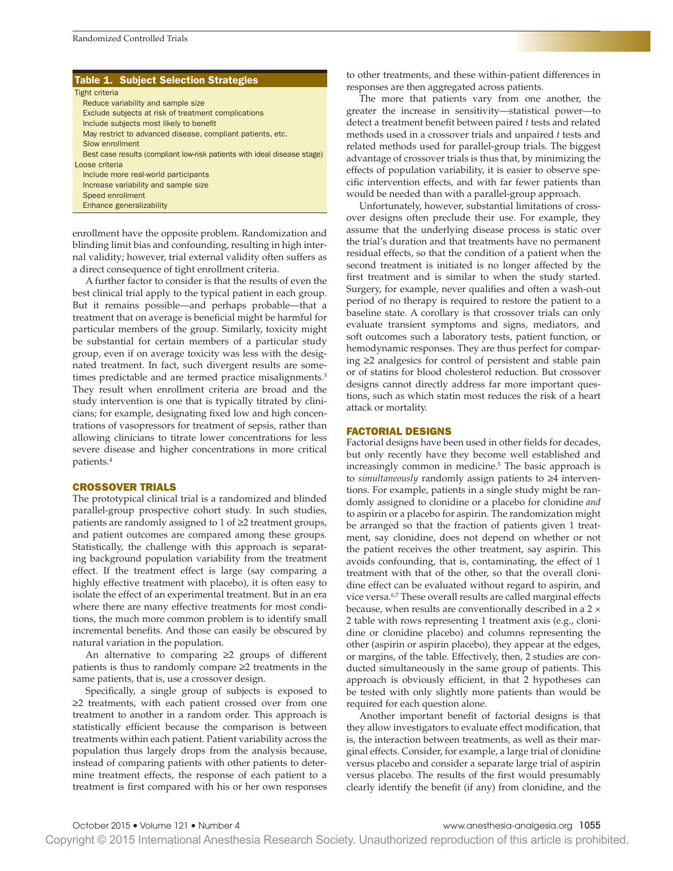# Table 1. Subject Selection Strategies

Tight criteria

| Reduce variability and sample size                        |
|-----------------------------------------------------------|
| Exclude subjects at risk of treatment complications       |
| Include subjects most likely to benefit                   |
| Mou restrict to advanced diseases, compliant potients, of |

 May restrict to advanced disease, compliant patients, etc. Slow enrollment

 Best case results (compliant low-risk patients with ideal disease stage) Loose criteria

 Include more real-world participants Increase variability and sample size Speed enrollment

Enhance generalizability

enrollment have the opposite problem. Randomization and blinding limit bias and confounding, resulting in high internal validity; however, trial external validity often suffers as a direct consequence of tight enrollment criteria.

A further factor to consider is that the results of even the best clinical trial apply to the typical patient in each group. But it remains possible—and perhaps probable—that a treatment that on average is beneficial might be harmful for particular members of the group. Similarly, toxicity might be substantial for certain members of a particular study group, even if on average toxicity was less with the designated treatment. In fact, such divergent results are sometimes predictable and are termed practice misalignments.<sup>3</sup> They result when enrollment criteria are broad and the study intervention is one that is typically titrated by clinicians; for example, designating fixed low and high concentrations of vasopressors for treatment of sepsis, rather than allowing clinicians to titrate lower concentrations for less severe disease and higher concentrations in more critical patients.4

### CROSSOVER TRIALS

The prototypical clinical trial is a randomized and blinded parallel-group prospective cohort study. In such studies, patients are randomly assigned to 1 of ≥2 treatment groups, and patient outcomes are compared among these groups. Statistically, the challenge with this approach is separating background population variability from the treatment effect. If the treatment effect is large (say comparing a highly effective treatment with placebo), it is often easy to isolate the effect of an experimental treatment. But in an era where there are many effective treatments for most conditions, the much more common problem is to identify small incremental benefits. And those can easily be obscured by natural variation in the population.

An alternative to comparing ≥2 groups of different patients is thus to randomly compare ≥2 treatments in the same patients, that is, use a crossover design.

Specifically, a single group of subjects is exposed to ≥2 treatments, with each patient crossed over from one treatment to another in a random order. This approach is statistically efficient because the comparison is between treatments within each patient. Patient variability across the population thus largely drops from the analysis because, instead of comparing patients with other patients to determine treatment effects, the response of each patient to a treatment is first compared with his or her own responses

to other treatments, and these within-patient differences in responses are then aggregated across patients.

The more that patients vary from one another, the greater the increase in sensitivity—statistical power—to detect a treatment benefit between paired *t* tests and related methods used in a crossover trials and unpaired *t* tests and related methods used for parallel-group trials. The biggest advantage of crossover trials is thus that, by minimizing the effects of population variability, it is easier to observe specific intervention effects, and with far fewer patients than would be needed than with a parallel-group approach.

Unfortunately, however, substantial limitations of crossover designs often preclude their use. For example, they assume that the underlying disease process is static over the trial's duration and that treatments have no permanent residual effects, so that the condition of a patient when the second treatment is initiated is no longer affected by the first treatment and is similar to when the study started. Surgery, for example, never qualifies and often a wash-out period of no therapy is required to restore the patient to a baseline state. A corollary is that crossover trials can only evaluate transient symptoms and signs, mediators, and soft outcomes such a laboratory tests, patient function, or hemodynamic responses. They are thus perfect for comparing ≥2 analgesics for control of persistent and stable pain or of statins for blood cholesterol reduction. But crossover designs cannot directly address far more important questions, such as which statin most reduces the risk of a heart attack or mortality.

# FACTORIAL DESIGNS

Factorial designs have been used in other fields for decades, but only recently have they become well established and increasingly common in medicine.<sup>5</sup> The basic approach is to *simultaneously* randomly assign patients to ≥4 interventions. For example, patients in a single study might be randomly assigned to clonidine or a placebo for clonidine *and* to aspirin or a placebo for aspirin. The randomization might be arranged so that the fraction of patients given 1 treatment, say clonidine, does not depend on whether or not the patient receives the other treatment, say aspirin. This avoids confounding, that is, contaminating, the effect of 1 treatment with that of the other, so that the overall clonidine effect can be evaluated without regard to aspirin, and vice versa.<sup>6,7</sup> These overall results are called marginal effects because, when results are conventionally described in a 2 × 2 table with rows representing 1 treatment axis (e.g., clonidine or clonidine placebo) and columns representing the other (aspirin or aspirin placebo), they appear at the edges, or margins, of the table. Effectively, then, 2 studies are conducted simultaneously in the same group of patients. This approach is obviously efficient, in that 2 hypotheses can be tested with only slightly more patients than would be required for each question alone.

Another important beneft of factorial designs is that they allow investigators to evaluate effect modifcation, that is, the interaction between treatments, as well as their marginal effects. Consider, for example, a large trial of clonidine versus placebo and consider a separate large trial of aspirin versus placebo. The results of the first would presumably clearly identify the beneft (if any) from clonidine, and the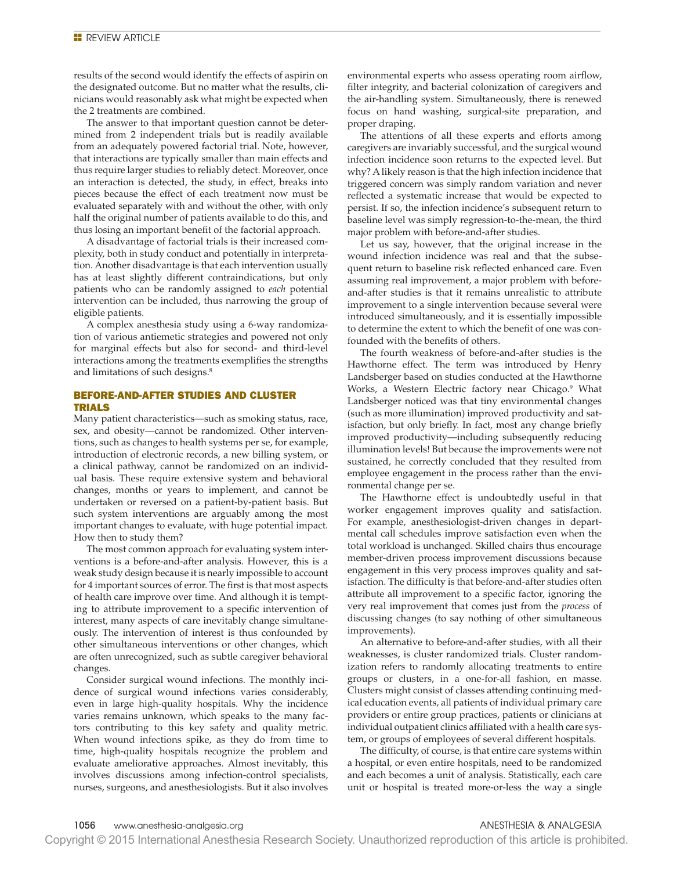results of the second would identify the effects of aspirin on the designated outcome. But no matter what the results, clinicians would reasonably ask what might be expected when the 2 treatments are combined.

The answer to that important question cannot be determined from 2 independent trials but is readily available from an adequately powered factorial trial. Note, however, that interactions are typically smaller than main effects and thus require larger studies to reliably detect. Moreover, once an interaction is detected, the study, in effect, breaks into pieces because the effect of each treatment now must be evaluated separately with and without the other, with only half the original number of patients available to do this, and thus losing an important beneft of the factorial approach.

A disadvantage of factorial trials is their increased complexity, both in study conduct and potentially in interpretation. Another disadvantage is that each intervention usually has at least slightly different contraindications, but only patients who can be randomly assigned to *each* potential intervention can be included, thus narrowing the group of eligible patients.

A complex anesthesia study using a 6-way randomization of various antiemetic strategies and powered not only for marginal effects but also for second- and third-level interactions among the treatments exemplifies the strengths and limitations of such designs.<sup>8</sup>

# BEFORE-AND-AFTER STUDIES AND CLUSTER TRIALS

Many patient characteristics—such as smoking status, race, sex, and obesity—cannot be randomized. Other interventions, such as changes to health systems per se, for example, introduction of electronic records, a new billing system, or a clinical pathway, cannot be randomized on an individual basis. These require extensive system and behavioral changes, months or years to implement, and cannot be undertaken or reversed on a patient-by-patient basis. But such system interventions are arguably among the most important changes to evaluate, with huge potential impact. How then to study them?

The most common approach for evaluating system interventions is a before-and-after analysis. However, this is a weak study design because it is nearly impossible to account for 4 important sources of error. The first is that most aspects of health care improve over time. And although it is tempting to attribute improvement to a specific intervention of interest, many aspects of care inevitably change simultaneously. The intervention of interest is thus confounded by other simultaneous interventions or other changes, which are often unrecognized, such as subtle caregiver behavioral changes.

Consider surgical wound infections. The monthly incidence of surgical wound infections varies considerably, even in large high-quality hospitals. Why the incidence varies remains unknown, which speaks to the many factors contributing to this key safety and quality metric. When wound infections spike, as they do from time to time, high-quality hospitals recognize the problem and evaluate ameliorative approaches. Almost inevitably, this involves discussions among infection-control specialists, nurses, surgeons, and anesthesiologists. But it also involves

environmental experts who assess operating room airflow, flter integrity, and bacterial colonization of caregivers and the air-handling system. Simultaneously, there is renewed focus on hand washing, surgical-site preparation, and proper draping.

The attentions of all these experts and efforts among caregivers are invariably successful, and the surgical wound infection incidence soon returns to the expected level. But why? A likely reason is that the high infection incidence that triggered concern was simply random variation and never refected a systematic increase that would be expected to persist. If so, the infection incidence's subsequent return to baseline level was simply regression-to-the-mean, the third major problem with before-and-after studies.

Let us say, however, that the original increase in the wound infection incidence was real and that the subsequent return to baseline risk refected enhanced care. Even assuming real improvement, a major problem with beforeand-after studies is that it remains unrealistic to attribute improvement to a single intervention because several were introduced simultaneously, and it is essentially impossible to determine the extent to which the beneft of one was confounded with the benefits of others.

The fourth weakness of before-and-after studies is the Hawthorne effect. The term was introduced by Henry Landsberger based on studies conducted at the Hawthorne Works, a Western Electric factory near Chicago.<sup>9</sup> What Landsberger noticed was that tiny environmental changes (such as more illumination) improved productivity and satisfaction, but only briefy. In fact, most any change briefy improved productivity—including subsequently reducing illumination levels! But because the improvements were not sustained, he correctly concluded that they resulted from employee engagement in the process rather than the environmental change per se.

The Hawthorne effect is undoubtedly useful in that worker engagement improves quality and satisfaction. For example, anesthesiologist-driven changes in departmental call schedules improve satisfaction even when the total workload is unchanged. Skilled chairs thus encourage member-driven process improvement discussions because engagement in this very process improves quality and satisfaction. The difficulty is that before-and-after studies often attribute all improvement to a specific factor, ignoring the very real improvement that comes just from the *process* of discussing changes (to say nothing of other simultaneous improvements).

An alternative to before-and-after studies, with all their weaknesses, is cluster randomized trials. Cluster randomization refers to randomly allocating treatments to entire groups or clusters, in a one-for-all fashion, en masse. Clusters might consist of classes attending continuing medical education events, all patients of individual primary care providers or entire group practices, patients or clinicians at individual outpatient clinics affliated with a health care system, or groups of employees of several different hospitals.

The difficulty, of course, is that entire care systems within a hospital, or even entire hospitals, need to be randomized and each becomes a unit of analysis. Statistically, each care unit or hospital is treated more-or-less the way a single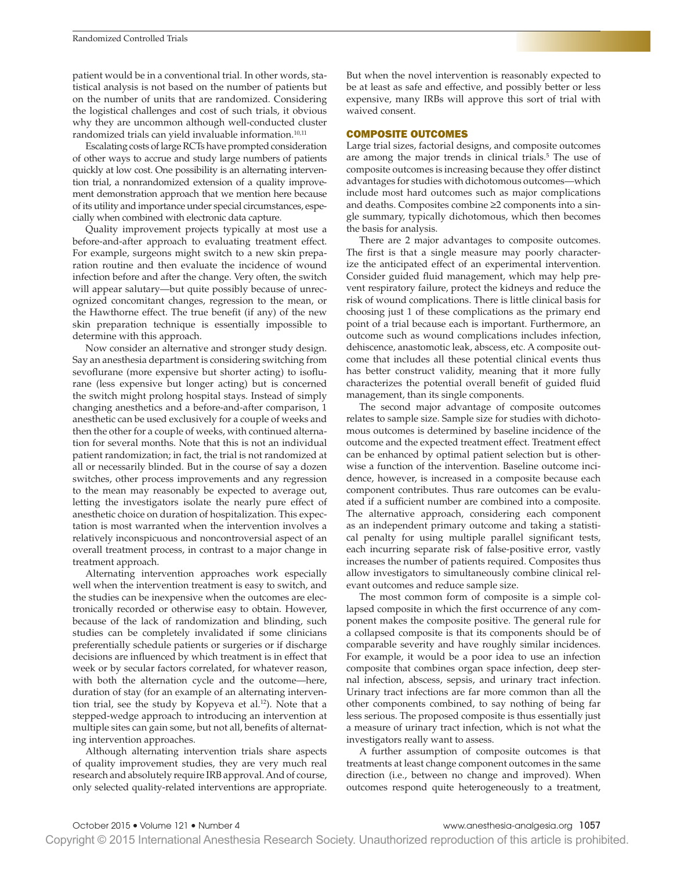patient would be in a conventional trial. In other words, statistical analysis is not based on the number of patients but on the number of units that are randomized. Considering the logistical challenges and cost of such trials, it obvious why they are uncommon although well-conducted cluster randomized trials can yield invaluable information.<sup>10,11</sup>

Escalating costs of large RCTs have prompted consideration of other ways to accrue and study large numbers of patients quickly at low cost. One possibility is an alternating intervention trial, a nonrandomized extension of a quality improvement demonstration approach that we mention here because of its utility and importance under special circumstances, especially when combined with electronic data capture.

Quality improvement projects typically at most use a before-and-after approach to evaluating treatment effect. For example, surgeons might switch to a new skin preparation routine and then evaluate the incidence of wound infection before and after the change. Very often, the switch will appear salutary—but quite possibly because of unrecognized concomitant changes, regression to the mean, or the Hawthorne effect. The true beneft (if any) of the new skin preparation technique is essentially impossible to determine with this approach.

Now consider an alternative and stronger study design. Say an anesthesia department is considering switching from sevoflurane (more expensive but shorter acting) to isoflurane (less expensive but longer acting) but is concerned the switch might prolong hospital stays. Instead of simply changing anesthetics and a before-and-after comparison, 1 anesthetic can be used exclusively for a couple of weeks and then the other for a couple of weeks, with continued alternation for several months. Note that this is not an individual patient randomization; in fact, the trial is not randomized at all or necessarily blinded. But in the course of say a dozen switches, other process improvements and any regression to the mean may reasonably be expected to average out, letting the investigators isolate the nearly pure effect of anesthetic choice on duration of hospitalization. This expectation is most warranted when the intervention involves a relatively inconspicuous and noncontroversial aspect of an overall treatment process, in contrast to a major change in treatment approach.

Alternating intervention approaches work especially well when the intervention treatment is easy to switch, and the studies can be inexpensive when the outcomes are electronically recorded or otherwise easy to obtain. However, because of the lack of randomization and blinding, such studies can be completely invalidated if some clinicians preferentially schedule patients or surgeries or if discharge decisions are infuenced by which treatment is in effect that week or by secular factors correlated, for whatever reason, with both the alternation cycle and the outcome—here, duration of stay (for an example of an alternating intervention trial, see the study by Kopyeva et al.<sup>12</sup>). Note that a stepped-wedge approach to introducing an intervention at multiple sites can gain some, but not all, benefits of alternating intervention approaches.

Although alternating intervention trials share aspects of quality improvement studies, they are very much real research and absolutely require IRB approval. And of course, only selected quality-related interventions are appropriate.

But when the novel intervention is reasonably expected to be at least as safe and effective, and possibly better or less expensive, many IRBs will approve this sort of trial with waived consent.

# COMPOSITE OUTCOMES

Large trial sizes, factorial designs, and composite outcomes are among the major trends in clinical trials.<sup>5</sup> The use of composite outcomes is increasing because they offer distinct advantages for studies with dichotomous outcomes—which include most hard outcomes such as major complications and deaths. Composites combine ≥2 components into a single summary, typically dichotomous, which then becomes the basis for analysis.

There are 2 major advantages to composite outcomes. The first is that a single measure may poorly characterize the anticipated effect of an experimental intervention. Consider guided fuid management, which may help prevent respiratory failure, protect the kidneys and reduce the risk of wound complications. There is little clinical basis for choosing just 1 of these complications as the primary end point of a trial because each is important. Furthermore, an outcome such as wound complications includes infection, dehiscence, anastomotic leak, abscess, etc. A composite outcome that includes all these potential clinical events thus has better construct validity, meaning that it more fully characterizes the potential overall beneft of guided fuid management, than its single components.

The second major advantage of composite outcomes relates to sample size. Sample size for studies with dichotomous outcomes is determined by baseline incidence of the outcome and the expected treatment effect. Treatment effect can be enhanced by optimal patient selection but is otherwise a function of the intervention. Baseline outcome incidence, however, is increased in a composite because each component contributes. Thus rare outcomes can be evaluated if a sufficient number are combined into a composite. The alternative approach, considering each component as an independent primary outcome and taking a statistical penalty for using multiple parallel significant tests, each incurring separate risk of false-positive error, vastly increases the number of patients required. Composites thus allow investigators to simultaneously combine clinical relevant outcomes and reduce sample size.

The most common form of composite is a simple collapsed composite in which the frst occurrence of any component makes the composite positive. The general rule for a collapsed composite is that its components should be of comparable severity and have roughly similar incidences. For example, it would be a poor idea to use an infection composite that combines organ space infection, deep sternal infection, abscess, sepsis, and urinary tract infection. Urinary tract infections are far more common than all the other components combined, to say nothing of being far less serious. The proposed composite is thus essentially just a measure of urinary tract infection, which is not what the investigators really want to assess.

A further assumption of composite outcomes is that treatments at least change component outcomes in the same direction (i.e., between no change and improved). When outcomes respond quite heterogeneously to a treatment,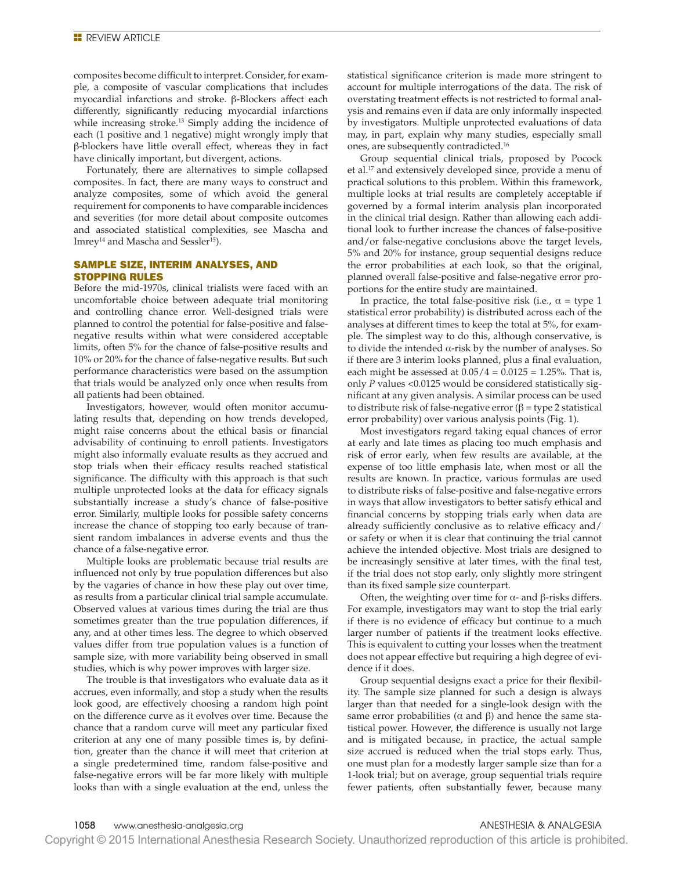composites become difficult to interpret. Consider, for example, a composite of vascular complications that includes myocardial infarctions and stroke. β-Blockers affect each differently, signifcantly reducing myocardial infarctions while increasing stroke.<sup>13</sup> Simply adding the incidence of each (1 positive and 1 negative) might wrongly imply that β-blockers have little overall effect, whereas they in fact have clinically important, but divergent, actions.

Fortunately, there are alternatives to simple collapsed composites. In fact, there are many ways to construct and analyze composites, some of which avoid the general requirement for components to have comparable incidences and severities (for more detail about composite outcomes and associated statistical complexities, see Mascha and Imrey<sup>14</sup> and Mascha and Sessler<sup>15</sup>).

# SAMPLE SIZE, INTERIM ANALYSES, AND STOPPING RULES

Before the mid-1970s, clinical trialists were faced with an uncomfortable choice between adequate trial monitoring and controlling chance error. Well-designed trials were planned to control the potential for false-positive and falsenegative results within what were considered acceptable limits, often 5% for the chance of false-positive results and 10% or 20% for the chance of false-negative results. But such performance characteristics were based on the assumption that trials would be analyzed only once when results from all patients had been obtained.

Investigators, however, would often monitor accumulating results that, depending on how trends developed, might raise concerns about the ethical basis or fnancial advisability of continuing to enroll patients. Investigators might also informally evaluate results as they accrued and stop trials when their efficacy results reached statistical significance. The difficulty with this approach is that such multiple unprotected looks at the data for efficacy signals substantially increase a study's chance of false-positive error. Similarly, multiple looks for possible safety concerns increase the chance of stopping too early because of transient random imbalances in adverse events and thus the chance of a false-negative error.

Multiple looks are problematic because trial results are infuenced not only by true population differences but also by the vagaries of chance in how these play out over time, as results from a particular clinical trial sample accumulate. Observed values at various times during the trial are thus sometimes greater than the true population differences, if any, and at other times less. The degree to which observed values differ from true population values is a function of sample size, with more variability being observed in small studies, which is why power improves with larger size.

The trouble is that investigators who evaluate data as it accrues, even informally, and stop a study when the results look good, are effectively choosing a random high point on the difference curve as it evolves over time. Because the chance that a random curve will meet any particular fxed criterion at any one of many possible times is, by defnition, greater than the chance it will meet that criterion at a single predetermined time, random false-positive and false-negative errors will be far more likely with multiple looks than with a single evaluation at the end, unless the statistical significance criterion is made more stringent to account for multiple interrogations of the data. The risk of overstating treatment effects is not restricted to formal analysis and remains even if data are only informally inspected by investigators. Multiple unprotected evaluations of data may, in part, explain why many studies, especially small ones, are subsequently contradicted.16

Group sequential clinical trials, proposed by Pocock et al.17 and extensively developed since, provide a menu of practical solutions to this problem. Within this framework, multiple looks at trial results are completely acceptable if governed by a formal interim analysis plan incorporated in the clinical trial design. Rather than allowing each additional look to further increase the chances of false-positive and/or false-negative conclusions above the target levels, 5% and 20% for instance, group sequential designs reduce the error probabilities at each look, so that the original, planned overall false-positive and false-negative error proportions for the entire study are maintained.

In practice, the total false-positive risk (i.e.,  $\alpha$  = type 1 statistical error probability) is distributed across each of the analyses at different times to keep the total at 5%, for example. The simplest way to do this, although conservative, is to divide the intended  $\alpha$ -risk by the number of analyses. So if there are 3 interim looks planned, plus a final evaluation, each might be assessed at  $0.05/4 = 0.0125 = 1.25\%$ . That is, only *P* values <0.0125 would be considered statistically signifcant at any given analysis. A similar process can be used to distribute risk of false-negative error (β = type 2 statistical error probability) over various analysis points (Fig. 1).

Most investigators regard taking equal chances of error at early and late times as placing too much emphasis and risk of error early, when few results are available, at the expense of too little emphasis late, when most or all the results are known. In practice, various formulas are used to distribute risks of false-positive and false-negative errors in ways that allow investigators to better satisfy ethical and fnancial concerns by stopping trials early when data are already sufficiently conclusive as to relative efficacy and/ or safety or when it is clear that continuing the trial cannot achieve the intended objective. Most trials are designed to be increasingly sensitive at later times, with the final test, if the trial does not stop early, only slightly more stringent than its fxed sample size counterpart.

Often, the weighting over time for  $α$ - and  $β$ -risks differs. For example, investigators may want to stop the trial early if there is no evidence of efficacy but continue to a much larger number of patients if the treatment looks effective. This is equivalent to cutting your losses when the treatment does not appear effective but requiring a high degree of evidence if it does.

Group sequential designs exact a price for their fexibility. The sample size planned for such a design is always larger than that needed for a single-look design with the same error probabilities ( $\alpha$  and  $\beta$ ) and hence the same statistical power. However, the difference is usually not large and is mitigated because, in practice, the actual sample size accrued is reduced when the trial stops early. Thus, one must plan for a modestly larger sample size than for a 1-look trial; but on average, group sequential trials require fewer patients, often substantially fewer, because many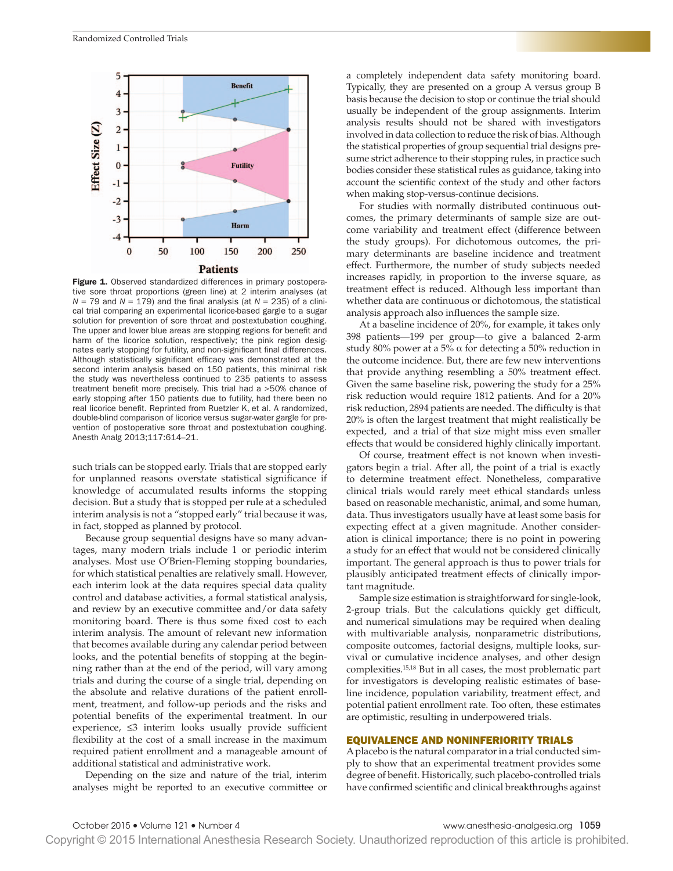

Figure 1. Observed standardized differences in primary postoperative sore throat proportions (green line) at 2 interim analyses (at  $N = 79$  and  $N = 179$ ) and the final analysis (at  $N = 235$ ) of a clinical trial comparing an experimental licorice-based gargle to a sugar solution for prevention of sore throat and postextubation coughing. The upper and lower blue areas are stopping regions for beneft and harm of the licorice solution, respectively; the pink region designates early stopping for futility, and non-significant final differences. Although statistically significant efficacy was demonstrated at the second interim analysis based on 150 patients, this minimal risk the study was nevertheless continued to 235 patients to assess treatment beneft more precisely. This trial had a >50% chance of early stopping after 150 patients due to futility, had there been no real licorice beneft. Reprinted from Ruetzler K, et al. A randomized, double-blind comparison of licorice versus sugar-water gargle for prevention of postoperative sore throat and postextubation coughing. Anesth Analg 2013;117:614–21.

such trials can be stopped early. Trials that are stopped early for unplanned reasons overstate statistical significance if knowledge of accumulated results informs the stopping decision. But a study that is stopped per rule at a scheduled interim analysis is not a "stopped early" trial because it was, in fact, stopped as planned by protocol.

Because group sequential designs have so many advantages, many modern trials include 1 or periodic interim analyses. Most use O'Brien-Fleming stopping boundaries, for which statistical penalties are relatively small. However, each interim look at the data requires special data quality control and database activities, a formal statistical analysis, and review by an executive committee and/or data safety monitoring board. There is thus some fixed cost to each interim analysis. The amount of relevant new information that becomes available during any calendar period between looks, and the potential benefits of stopping at the beginning rather than at the end of the period, will vary among trials and during the course of a single trial, depending on the absolute and relative durations of the patient enrollment, treatment, and follow-up periods and the risks and potential benefts of the experimental treatment. In our experience,  $\leq$ 3 interim looks usually provide sufficient fexibility at the cost of a small increase in the maximum required patient enrollment and a manageable amount of additional statistical and administrative work.

Depending on the size and nature of the trial, interim analyses might be reported to an executive committee or

a completely independent data safety monitoring board. Typically, they are presented on a group A versus group B basis because the decision to stop or continue the trial should usually be independent of the group assignments. Interim analysis results should not be shared with investigators involved in data collection to reduce the risk of bias. Although the statistical properties of group sequential trial designs presume strict adherence to their stopping rules, in practice such bodies consider these statistical rules as guidance, taking into account the scientific context of the study and other factors when making stop-versus-continue decisions.

For studies with normally distributed continuous outcomes, the primary determinants of sample size are outcome variability and treatment effect (difference between the study groups). For dichotomous outcomes, the primary determinants are baseline incidence and treatment effect. Furthermore, the number of study subjects needed increases rapidly, in proportion to the inverse square, as treatment effect is reduced. Although less important than whether data are continuous or dichotomous, the statistical analysis approach also infuences the sample size.

At a baseline incidence of 20%, for example, it takes only 398 patients—199 per group—to give a balanced 2-arm study 80% power at a 5% α for detecting a 50% reduction in the outcome incidence. But, there are few new interventions that provide anything resembling a 50% treatment effect. Given the same baseline risk, powering the study for a 25% risk reduction would require 1812 patients. And for a 20% risk reduction, 2894 patients are needed. The difficulty is that 20% is often the largest treatment that might realistically be expected, and a trial of that size might miss even smaller effects that would be considered highly clinically important.

Of course, treatment effect is not known when investigators begin a trial. After all, the point of a trial is exactly to determine treatment effect. Nonetheless, comparative clinical trials would rarely meet ethical standards unless based on reasonable mechanistic, animal, and some human, data. Thus investigators usually have at least some basis for expecting effect at a given magnitude. Another consideration is clinical importance; there is no point in powering a study for an effect that would not be considered clinically important. The general approach is thus to power trials for plausibly anticipated treatment effects of clinically important magnitude.

Sample size estimation is straightforward for single-look, 2-group trials. But the calculations quickly get difficult, and numerical simulations may be required when dealing with multivariable analysis, nonparametric distributions, composite outcomes, factorial designs, multiple looks, survival or cumulative incidence analyses, and other design complexities.15,18 But in all cases, the most problematic part for investigators is developing realistic estimates of baseline incidence, population variability, treatment effect, and potential patient enrollment rate. Too often, these estimates are optimistic, resulting in underpowered trials.

# EQUIVALENCE AND NONINFERIORITY TRIALS

A placebo is the natural comparator in a trial conducted simply to show that an experimental treatment provides some degree of beneft. Historically, such placebo-controlled trials have confirmed scientific and clinical breakthroughs against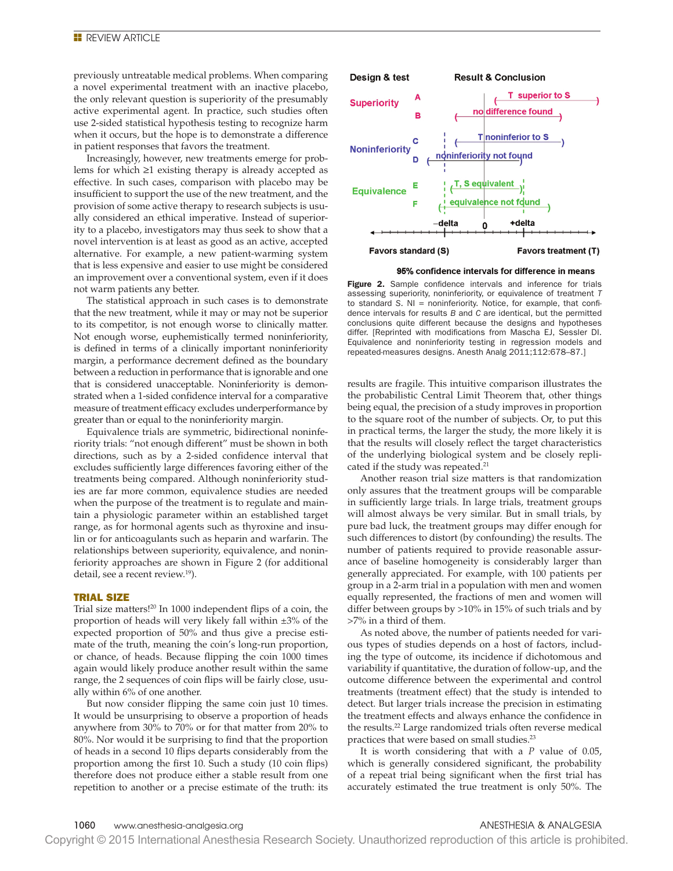previously untreatable medical problems. When comparing a novel experimental treatment with an inactive placebo, the only relevant question is superiority of the presumably active experimental agent. In practice, such studies often use 2-sided statistical hypothesis testing to recognize harm when it occurs, but the hope is to demonstrate a difference in patient responses that favors the treatment.

Increasingly, however, new treatments emerge for problems for which ≥1 existing therapy is already accepted as effective. In such cases, comparison with placebo may be insufficient to support the use of the new treatment, and the provision of some active therapy to research subjects is usually considered an ethical imperative. Instead of superiority to a placebo, investigators may thus seek to show that a novel intervention is at least as good as an active, accepted alternative. For example, a new patient-warming system that is less expensive and easier to use might be considered an improvement over a conventional system, even if it does not warm patients any better.

The statistical approach in such cases is to demonstrate that the new treatment, while it may or may not be superior to its competitor, is not enough worse to clinically matter. Not enough worse, euphemistically termed noninferiority, is defined in terms of a clinically important noninferiority margin, a performance decrement defned as the boundary between a reduction in performance that is ignorable and one that is considered unacceptable. Noninferiority is demonstrated when a 1-sided confidence interval for a comparative measure of treatment efficacy excludes underperformance by greater than or equal to the noninferiority margin.

Equivalence trials are symmetric, bidirectional noninferiority trials: "not enough different" must be shown in both directions, such as by a 2-sided confidence interval that excludes sufficiently large differences favoring either of the treatments being compared. Although noninferiority studies are far more common, equivalence studies are needed when the purpose of the treatment is to regulate and maintain a physiologic parameter within an established target range, as for hormonal agents such as thyroxine and insulin or for anticoagulants such as heparin and warfarin. The relationships between superiority, equivalence, and noninferiority approaches are shown in Figure 2 (for additional detail, see a recent review.19).

#### TRIAL SIZE

Trial size matters!20 In 1000 independent fips of a coin, the proportion of heads will very likely fall within ±3% of the expected proportion of 50% and thus give a precise estimate of the truth, meaning the coin's long-run proportion, or chance, of heads. Because fipping the coin 1000 times again would likely produce another result within the same range, the 2 sequences of coin fips will be fairly close, usually within 6% of one another.

But now consider fipping the same coin just 10 times. It would be unsurprising to observe a proportion of heads anywhere from 30% to 70% or for that matter from 20% to 80%. Nor would it be surprising to fnd that the proportion of heads in a second 10 fips departs considerably from the proportion among the frst 10. Such a study (10 coin fips) therefore does not produce either a stable result from one repetition to another or a precise estimate of the truth: its



95% confidence intervals for difference in means

Figure 2. Sample confidence intervals and inference for trials assessing superiority, noninferiority, or equivalence of treatment T to standard S.  $NI =$  noninferiority. Notice, for example, that confidence intervals for results B and C are identical, but the permitted conclusions quite different because the designs and hypotheses differ. [Reprinted with modifcations from Mascha EJ, Sessler DI. Equivalence and noninferiority testing in regression models and repeated-measures designs. Anesth Analg 2011;112:678–87.]

results are fragile. This intuitive comparison illustrates the the probabilistic Central Limit Theorem that, other things being equal, the precision of a study improves in proportion to the square root of the number of subjects. Or, to put this in practical terms, the larger the study, the more likely it is that the results will closely refect the target characteristics of the underlying biological system and be closely replicated if the study was repeated.<sup>21</sup>

Another reason trial size matters is that randomization only assures that the treatment groups will be comparable in sufficiently large trials. In large trials, treatment groups will almost always be very similar. But in small trials, by pure bad luck, the treatment groups may differ enough for such differences to distort (by confounding) the results. The number of patients required to provide reasonable assurance of baseline homogeneity is considerably larger than generally appreciated. For example, with 100 patients per group in a 2-arm trial in a population with men and women equally represented, the fractions of men and women will differ between groups by >10% in 15% of such trials and by >7% in a third of them.

As noted above, the number of patients needed for various types of studies depends on a host of factors, including the type of outcome, its incidence if dichotomous and variability if quantitative, the duration of follow-up, and the outcome difference between the experimental and control treatments (treatment effect) that the study is intended to detect. But larger trials increase the precision in estimating the treatment effects and always enhance the confdence in the results.22 Large randomized trials often reverse medical practices that were based on small studies.23

It is worth considering that with a *P* value of 0.05, which is generally considered significant, the probability of a repeat trial being significant when the first trial has accurately estimated the true treatment is only 50%. The

# 1060 www.anesthesia-analgesia.org ANESTHESIA & ANALGESIA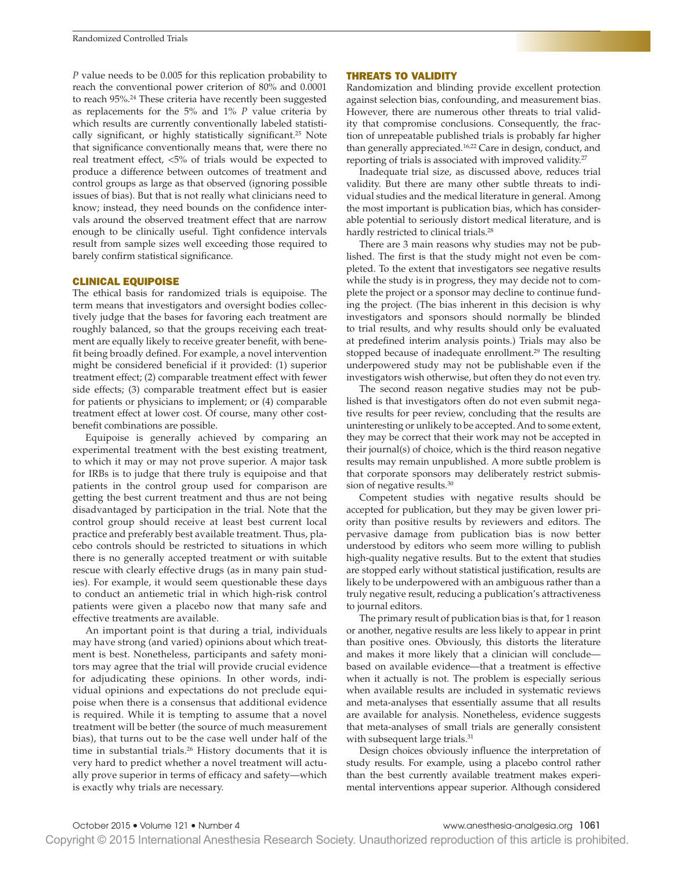*P* value needs to be 0.005 for this replication probability to reach the conventional power criterion of 80% and 0.0001 to reach 95%.24 These criteria have recently been suggested as replacements for the 5% and 1% *P* value criteria by which results are currently conventionally labeled statistically significant, or highly statistically significant.<sup>25</sup> Note that signifcance conventionally means that, were there no real treatment effect, <5% of trials would be expected to produce a difference between outcomes of treatment and control groups as large as that observed (ignoring possible issues of bias). But that is not really what clinicians need to know; instead, they need bounds on the confidence intervals around the observed treatment effect that are narrow enough to be clinically useful. Tight confidence intervals result from sample sizes well exceeding those required to barely confirm statistical significance.

# CLINICAL EQUIPOISE

The ethical basis for randomized trials is equipoise. The term means that investigators and oversight bodies collectively judge that the bases for favoring each treatment are roughly balanced, so that the groups receiving each treatment are equally likely to receive greater benefit, with benefit being broadly defined. For example, a novel intervention might be considered beneficial if it provided: (1) superior treatment effect; (2) comparable treatment effect with fewer side effects; (3) comparable treatment effect but is easier for patients or physicians to implement; or (4) comparable treatment effect at lower cost. Of course, many other costbenefit combinations are possible.

Equipoise is generally achieved by comparing an experimental treatment with the best existing treatment, to which it may or may not prove superior. A major task for IRBs is to judge that there truly is equipoise and that patients in the control group used for comparison are getting the best current treatment and thus are not being disadvantaged by participation in the trial. Note that the control group should receive at least best current local practice and preferably best available treatment. Thus, placebo controls should be restricted to situations in which there is no generally accepted treatment or with suitable rescue with clearly effective drugs (as in many pain studies). For example, it would seem questionable these days to conduct an antiemetic trial in which high-risk control patients were given a placebo now that many safe and effective treatments are available.

An important point is that during a trial, individuals may have strong (and varied) opinions about which treatment is best. Nonetheless, participants and safety monitors may agree that the trial will provide crucial evidence for adjudicating these opinions. In other words, individual opinions and expectations do not preclude equipoise when there is a consensus that additional evidence is required. While it is tempting to assume that a novel treatment will be better (the source of much measurement bias), that turns out to be the case well under half of the time in substantial trials.<sup>26</sup> History documents that it is very hard to predict whether a novel treatment will actually prove superior in terms of efficacy and safety—which is exactly why trials are necessary.

# THREATS TO VALIDITY

Randomization and blinding provide excellent protection against selection bias, confounding, and measurement bias. However, there are numerous other threats to trial validity that compromise conclusions. Consequently, the fraction of unrepeatable published trials is probably far higher than generally appreciated.<sup>16,22</sup> Care in design, conduct, and reporting of trials is associated with improved validity.<sup>27</sup>

Inadequate trial size, as discussed above, reduces trial validity. But there are many other subtle threats to individual studies and the medical literature in general. Among the most important is publication bias, which has considerable potential to seriously distort medical literature, and is hardly restricted to clinical trials.<sup>28</sup>

There are 3 main reasons why studies may not be published. The frst is that the study might not even be completed. To the extent that investigators see negative results while the study is in progress, they may decide not to complete the project or a sponsor may decline to continue funding the project. (The bias inherent in this decision is why investigators and sponsors should normally be blinded to trial results, and why results should only be evaluated at predefned interim analysis points.) Trials may also be stopped because of inadequate enrollment.<sup>29</sup> The resulting underpowered study may not be publishable even if the investigators wish otherwise, but often they do not even try.

The second reason negative studies may not be published is that investigators often do not even submit negative results for peer review, concluding that the results are uninteresting or unlikely to be accepted. And to some extent, they may be correct that their work may not be accepted in their journal(s) of choice, which is the third reason negative results may remain unpublished. A more subtle problem is that corporate sponsors may deliberately restrict submission of negative results.30

Competent studies with negative results should be accepted for publication, but they may be given lower priority than positive results by reviewers and editors. The pervasive damage from publication bias is now better understood by editors who seem more willing to publish high-quality negative results. But to the extent that studies are stopped early without statistical justification, results are likely to be underpowered with an ambiguous rather than a truly negative result, reducing a publication's attractiveness to journal editors.

The primary result of publication bias is that, for 1 reason or another, negative results are less likely to appear in print than positive ones. Obviously, this distorts the literature and makes it more likely that a clinician will conclude based on available evidence—that a treatment is effective when it actually is not. The problem is especially serious when available results are included in systematic reviews and meta-analyses that essentially assume that all results are available for analysis. Nonetheless, evidence suggests that meta-analyses of small trials are generally consistent with subsequent large trials.<sup>31</sup>

Design choices obviously infuence the interpretation of study results. For example, using a placebo control rather than the best currently available treatment makes experimental interventions appear superior. Although considered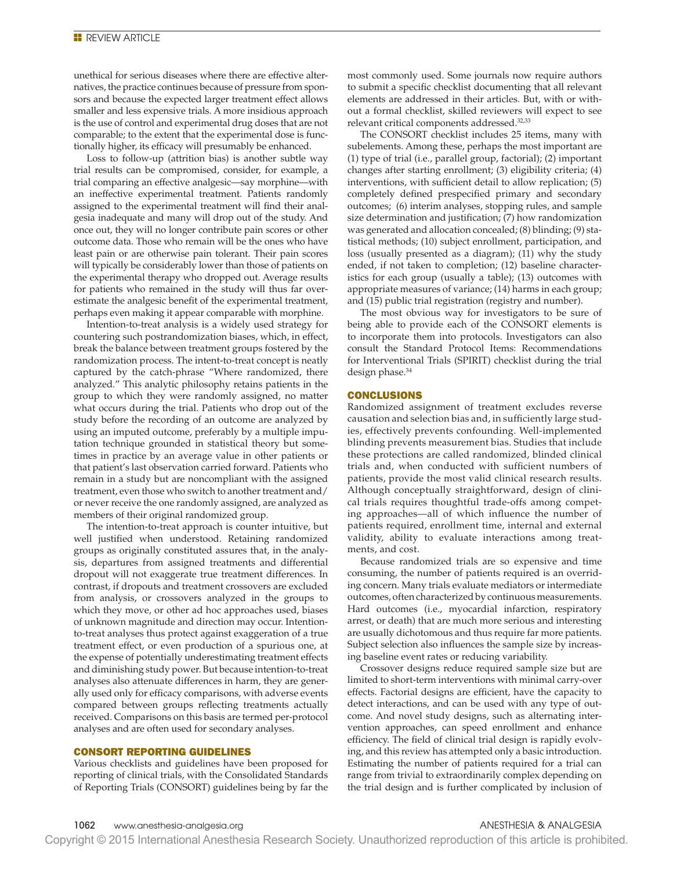unethical for serious diseases where there are effective alternatives, the practice continues because of pressure from sponsors and because the expected larger treatment effect allows smaller and less expensive trials. A more insidious approach is the use of control and experimental drug doses that are not comparable; to the extent that the experimental dose is functionally higher, its efficacy will presumably be enhanced.

Loss to follow-up (attrition bias) is another subtle way trial results can be compromised, consider, for example, a trial comparing an effective analgesic—say morphine—with an ineffective experimental treatment. Patients randomly assigned to the experimental treatment will find their analgesia inadequate and many will drop out of the study. And once out, they will no longer contribute pain scores or other outcome data. Those who remain will be the ones who have least pain or are otherwise pain tolerant. Their pain scores will typically be considerably lower than those of patients on the experimental therapy who dropped out. Average results for patients who remained in the study will thus far overestimate the analgesic beneft of the experimental treatment, perhaps even making it appear comparable with morphine.

Intention-to-treat analysis is a widely used strategy for countering such postrandomization biases, which, in effect, break the balance between treatment groups fostered by the randomization process. The intent-to-treat concept is neatly captured by the catch-phrase "Where randomized, there analyzed." This analytic philosophy retains patients in the group to which they were randomly assigned, no matter what occurs during the trial. Patients who drop out of the study before the recording of an outcome are analyzed by using an imputed outcome, preferably by a multiple imputation technique grounded in statistical theory but sometimes in practice by an average value in other patients or that patient's last observation carried forward. Patients who remain in a study but are noncompliant with the assigned treatment, even those who switch to another treatment and/ or never receive the one randomly assigned, are analyzed as members of their original randomized group.

The intention-to-treat approach is counter intuitive, but well justifed when understood. Retaining randomized groups as originally constituted assures that, in the analysis, departures from assigned treatments and differential dropout will not exaggerate true treatment differences. In contrast, if dropouts and treatment crossovers are excluded from analysis, or crossovers analyzed in the groups to which they move, or other ad hoc approaches used, biases of unknown magnitude and direction may occur. Intentionto-treat analyses thus protect against exaggeration of a true treatment effect, or even production of a spurious one, at the expense of potentially underestimating treatment effects and diminishing study power. But because intention-to-treat analyses also attenuate differences in harm, they are generally used only for efficacy comparisons, with adverse events compared between groups refecting treatments actually received. Comparisons on this basis are termed per-protocol analyses and are often used for secondary analyses.

# CONSORT REPORTING GUIDELINES

Various checklists and guidelines have been proposed for reporting of clinical trials, with the Consolidated Standards of Reporting Trials (CONSORT) guidelines being by far the

most commonly used. Some journals now require authors to submit a specifc checklist documenting that all relevant elements are addressed in their articles. But, with or without a formal checklist, skilled reviewers will expect to see relevant critical components addressed.32,33

The CONSORT checklist includes 25 items, many with subelements. Among these, perhaps the most important are (1) type of trial (i.e., parallel group, factorial); (2) important changes after starting enrollment; (3) eligibility criteria; (4) interventions, with sufficient detail to allow replication;  $(5)$ completely defned prespecifed primary and secondary outcomes; (6) interim analyses, stopping rules, and sample size determination and justification; (7) how randomization was generated and allocation concealed; (8) blinding; (9) statistical methods; (10) subject enrollment, participation, and loss (usually presented as a diagram); (11) why the study ended, if not taken to completion; (12) baseline characteristics for each group (usually a table); (13) outcomes with appropriate measures of variance; (14) harms in each group; and (15) public trial registration (registry and number).

The most obvious way for investigators to be sure of being able to provide each of the CONSORT elements is to incorporate them into protocols. Investigators can also consult the Standard Protocol Items: Recommendations for Interventional Trials (SPIRIT) checklist during the trial design phase.<sup>34</sup>

# **CONCLUSIONS**

Randomized assignment of treatment excludes reverse causation and selection bias and, in sufficiently large studies, effectively prevents confounding. Well-implemented blinding prevents measurement bias. Studies that include these protections are called randomized, blinded clinical trials and, when conducted with sufficient numbers of patients, provide the most valid clinical research results. Although conceptually straightforward, design of clinical trials requires thoughtful trade-offs among competing approaches—all of which infuence the number of patients required, enrollment time, internal and external validity, ability to evaluate interactions among treatments, and cost.

Because randomized trials are so expensive and time consuming, the number of patients required is an overriding concern. Many trials evaluate mediators or intermediate outcomes, often characterized by continuous measurements. Hard outcomes (i.e., myocardial infarction, respiratory arrest, or death) that are much more serious and interesting are usually dichotomous and thus require far more patients. Subject selection also infuences the sample size by increasing baseline event rates or reducing variability.

Crossover designs reduce required sample size but are limited to short-term interventions with minimal carry-over effects. Factorial designs are efficient, have the capacity to detect interactions, and can be used with any type of outcome. And novel study designs, such as alternating intervention approaches, can speed enrollment and enhance efficiency. The field of clinical trial design is rapidly evolving, and this review has attempted only a basic introduction. Estimating the number of patients required for a trial can range from trivial to extraordinarily complex depending on the trial design and is further complicated by inclusion of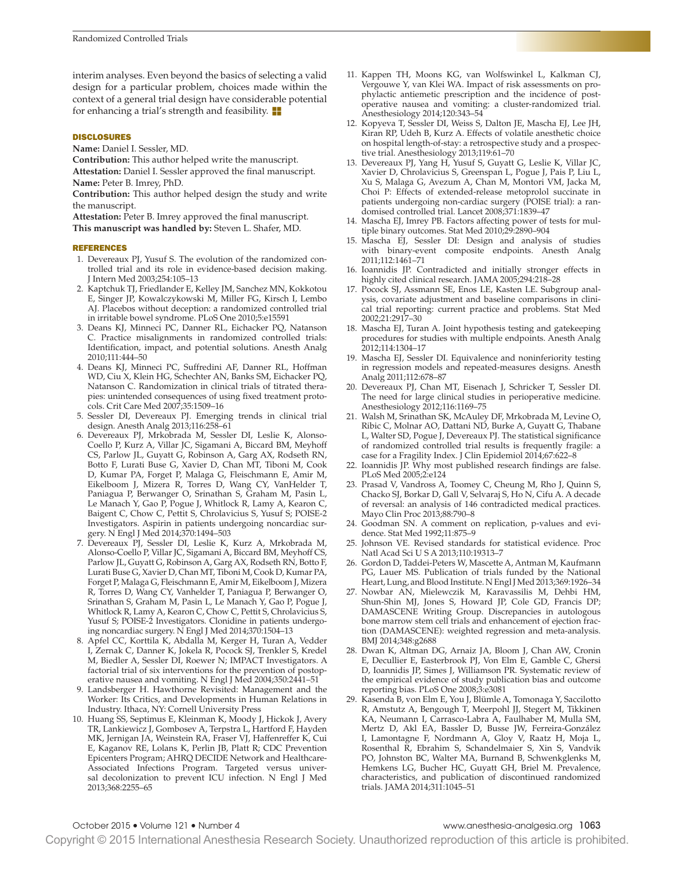interim analyses. Even beyond the basics of selecting a valid design for a particular problem, choices made within the context of a general trial design have considerable potential for enhancing a trial's strength and feasibility.  $\blacksquare$ 

#### DISCLOSURES

**Name:** Daniel I. Sessler, MD.

**Contribution:** This author helped write the manuscript.

Attestation: Daniel I. Sessler approved the final manuscript. **Name:** Peter B. Imrey, PhD.

**Contribution:** This author helped design the study and write the manuscript.

**Attestation:** Peter B. Imrey approved the fnal manuscript. **This manuscript was handled by:** Steven L. Shafer, MD.

#### REFERENCES

- 1. Devereaux PJ, Yusuf S. The evolution of the randomized controlled trial and its role in evidence-based decision making. J Intern Med 2003;254:105–13
- 2. Kaptchuk TJ, Friedlander E, Kelley JM, Sanchez MN, Kokkotou E, Singer JP, Kowalczykowski M, Miller FG, Kirsch I, Lembo AJ. Placebos without deception: a randomized controlled trial in irritable bowel syndrome. PLoS One 2010;5:e15591
- 3. Deans KJ, Minneci PC, Danner RL, Eichacker PQ, Natanson C. Practice misalignments in randomized controlled trials: Identification, impact, and potential solutions. Anesth Analg 2010;111:444–50
- 4. Deans KJ, Minneci PC, Suffredini AF, Danner RL, Hoffman WD, Ciu X, Klein HG, Schechter AN, Banks SM, Eichacker PQ, Natanson C. Randomization in clinical trials of titrated therapies: unintended consequences of using fxed treatment protocols. Crit Care Med 2007;35:1509–16
- 5. Sessler DI, Devereaux PJ. Emerging trends in clinical trial design. Anesth Analg 2013;116:258–61
- 6. Devereaux PJ, Mrkobrada M, Sessler DI, Leslie K, Alonso-Coello P, Kurz A, Villar JC, Sigamani A, Biccard BM, Meyhoff CS, Parlow JL, Guyatt G, Robinson A, Garg AX, Rodseth RN, Botto F, Lurati Buse G, Xavier D, Chan MT, Tiboni M, Cook D, Kumar PA, Forget P, Malaga G, Fleischmann E, Amir M, Eikelboom J, Mizera R, Torres D, Wang CY, VanHelder T, Paniagua P, Berwanger O, Srinathan S, Graham M, Pasin L, Le Manach Y, Gao P, Pogue J, Whitlock R, Lamy A, Kearon C, Baigent C, Chow C, Pettit S, Chrolavicius S, Yusuf S; POISE-2 Investigators. Aspirin in patients undergoing noncardiac surgery. N Engl J Med 2014;370:1494–503
- 7. Devereaux PJ, Sessler DI, Leslie K, Kurz A, Mrkobrada M, Alonso-Coello P, Villar JC, Sigamani A, Biccard BM, Meyhoff CS, Parlow JL, Guyatt G, Robinson A, Garg AX, Rodseth RN, Botto F, Lurati Buse G, Xavier D, Chan MT, Tiboni M, Cook D, Kumar PA, Forget P, Malaga G, Fleischmann E, Amir M, Eikelboom J, Mizera R, Torres D, Wang CY, Vanhelder T, Paniagua P, Berwanger O, Srinathan S, Graham M, Pasin L, Le Manach Y, Gao P, Pogue J, Whitlock R, Lamy A, Kearon C, Chow C, Pettit S, Chrolavicius S, Yusuf S; POISE-2 Investigators. Clonidine in patients undergoing noncardiac surgery. N Engl J Med 2014;370:1504–13
- 8. Apfel CC, Korttila K, Abdalla M, Kerger H, Turan A, Vedder I, Zernak C, Danner K, Jokela R, Pocock SJ, Trenkler S, Kredel M, Biedler A, Sessler DI, Roewer N; IMPACT Investigators. A factorial trial of six interventions for the prevention of postoperative nausea and vomiting. N Engl J Med 2004;350:2441–51
- 9. Landsberger H. Hawthorne Revisited: Management and the Worker: Its Critics, and Developments in Human Relations in Industry. Ithaca, NY: Cornell University Press
- 10. Huang SS, Septimus E, Kleinman K, Moody J, Hickok J, Avery TR, Lankiewicz J, Gombosev A, Terpstra L, Hartford F, Hayden MK, Jernigan JA, Weinstein RA, Fraser VJ, Haffenreffer K, Cui E, Kaganov RE, Lolans K, Perlin JB, Platt R; CDC Prevention Epicenters Program; AHRQ DECIDE Network and Healthcare-Associated Infections Program. Targeted versus universal decolonization to prevent ICU infection. N Engl J Med 2013;368:2255–65
- 11. Kappen TH, Moons KG, van Wolfswinkel L, Kalkman CJ, Vergouwe Y, van Klei WA. Impact of risk assessments on prophylactic antiemetic prescription and the incidence of postoperative nausea and vomiting: a cluster-randomized trial. Anesthesiology 2014;120:343–54
- 12. Kopyeva T, Sessler DI, Weiss S, Dalton JE, Mascha EJ, Lee JH, Kiran RP, Udeh B, Kurz A. Effects of volatile anesthetic choice on hospital length-of-stay: a retrospective study and a prospective trial. Anesthesiology 2013;119:61–70
- 13. Devereaux PJ, Yang H, Yusuf S, Guyatt G, Leslie K, Villar JC, Xavier D, Chrolavicius S, Greenspan L, Pogue J, Pais P, Liu L, Xu S, Malaga G, Avezum A, Chan M, Montori VM, Jacka M, Choi P: Effects of extended-release metoprolol succinate in patients undergoing non-cardiac surgery (POISE trial): a randomised controlled trial. Lancet 2008;371:1839–47
- 14. Mascha EJ, Imrey PB. Factors affecting power of tests for multiple binary outcomes. Stat Med 2010;29:2890–904
- 15. Mascha EJ, Sessler DI: Design and analysis of studies with binary-event composite endpoints. Anesth Analg 2011;112:1461–71
- 16. Ioannidis JP. Contradicted and initially stronger effects in highly cited clinical research. JAMA 2005;294:218–28
- 17. Pocock SJ, Assmann SE, Enos LE, Kasten LE. Subgroup analysis, covariate adjustment and baseline comparisons in clinical trial reporting: current practice and problems. Stat Med 2002;21:2917–30
- 18. Mascha EJ, Turan A. Joint hypothesis testing and gatekeeping procedures for studies with multiple endpoints. Anesth Analg 2012;114:1304–17
- 19. Mascha EJ, Sessler DI. Equivalence and noninferiority testing in regression models and repeated-measures designs. Anesth Analg 2011;112:678–87
- 20. Devereaux PJ, Chan MT, Eisenach J, Schricker T, Sessler DI. The need for large clinical studies in perioperative medicine. Anesthesiology 2012;116:1169–75
- 21. Walsh M, Srinathan SK, McAuley DF, Mrkobrada M, Levine O, Ribic C, Molnar AO, Dattani ND, Burke A, Guyatt G, Thabane L, Walter SD, Pogue J, Devereaux PJ. The statistical significance of randomized controlled trial results is frequently fragile: a case for a Fragility Index. J Clin Epidemiol 2014;67:622–8
- 22. Ioannidis JP. Why most published research fndings are false. PLoS Med 2005;2:e124
- 23. Prasad V, Vandross A, Toomey C, Cheung M, Rho J, Quinn S, Chacko SJ, Borkar D, Gall V, Selvaraj S, Ho N, Cifu A. A decade of reversal: an analysis of 146 contradicted medical practices. Mayo Clin Proc 2013;88:790–8
- 24. Goodman SN. A comment on replication, p-values and evidence. Stat Med 1992;11:875–9
- 25. Johnson VE. Revised standards for statistical evidence. Proc Natl Acad Sci U S A 2013;110:19313–7
- 26. Gordon D, Taddei-Peters W, Mascette A, Antman M, Kaufmann PG, Lauer MS. Publication of trials funded by the National Heart, Lung, and Blood Institute. N Engl J Med 2013;369:1926–34
- 27. Nowbar AN, Mielewczik M, Karavassilis M, Dehbi HM, Shun-Shin MJ, Jones S, Howard JP, Cole GD, Francis DP; DAMASCENE Writing Group. Discrepancies in autologous bone marrow stem cell trials and enhancement of ejection fraction (DAMASCENE): weighted regression and meta-analysis. BMJ 2014;348:g2688
- 28. Dwan K, Altman DG, Arnaiz JA, Bloom J, Chan AW, Cronin E, Decullier E, Easterbrook PJ, Von Elm E, Gamble C, Ghersi D, Ioannidis JP, Simes J, Williamson PR. Systematic review of the empirical evidence of study publication bias and outcome reporting bias. PLoS One 2008;3:e3081
- 29. Kasenda B, von Elm E, You J, Blümle A, Tomonaga Y, Saccilotto R, Amstutz A, Bengough T, Meerpohl JJ, Stegert M, Tikkinen KA, Neumann I, Carrasco-Labra A, Faulhaber M, Mulla SM, Mertz D, Akl EA, Bassler D, Busse JW, Ferreira-González I, Lamontagne F, Nordmann A, Gloy V, Raatz H, Moja L, Rosenthal R, Ebrahim S, Schandelmaier S, Xin S, Vandvik PO, Johnston BC, Walter MA, Burnand B, Schwenkglenks M, Hemkens LG, Bucher HC, Guyatt GH, Briel M. Prevalence, characteristics, and publication of discontinued randomized trials. JAMA 2014;311:1045–51

### October 2015 ڇ Volume 121 ڇ Number 4 www.anesthesia-analgesia.org 1063